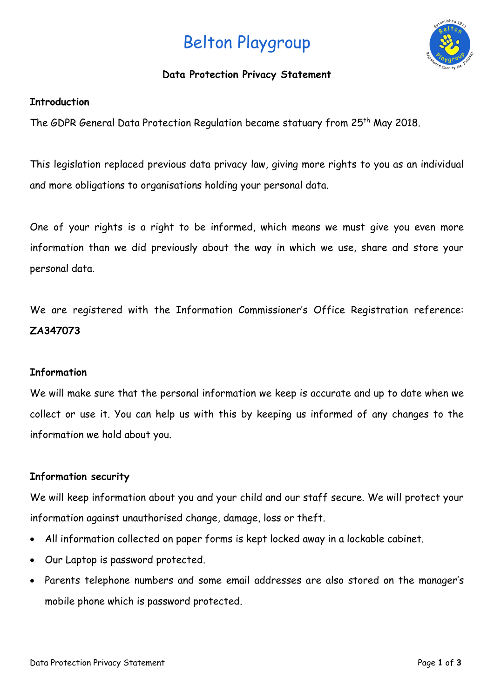# Belton Playgroup



### **Data Protection Privacy Statement**

#### **Introduction**

The GDPR General Data Protection Regulation became statuary from 25<sup>th</sup> May 2018.

This legislation replaced previous data privacy law, giving more rights to you as an individual and more obligations to organisations holding your personal data.

One of your rights is a right to be informed, which means we must give you even more information than we did previously about the way in which we use, share and store your personal data.

We are registered with the Information Commissioner's Office Registration reference: **ZA347073**

#### **Information**

We will make sure that the personal information we keep is accurate and up to date when we collect or use it. You can help us with this by keeping us informed of any changes to the information we hold about you.

### **Information security**

We will keep information about you and your child and our staff secure. We will protect your information against unauthorised change, damage, loss or theft.

- All information collected on paper forms is kept locked away in a lockable cabinet.
- Our Laptop is password protected.
- Parents telephone numbers and some email addresses are also stored on the manager's mobile phone which is password protected.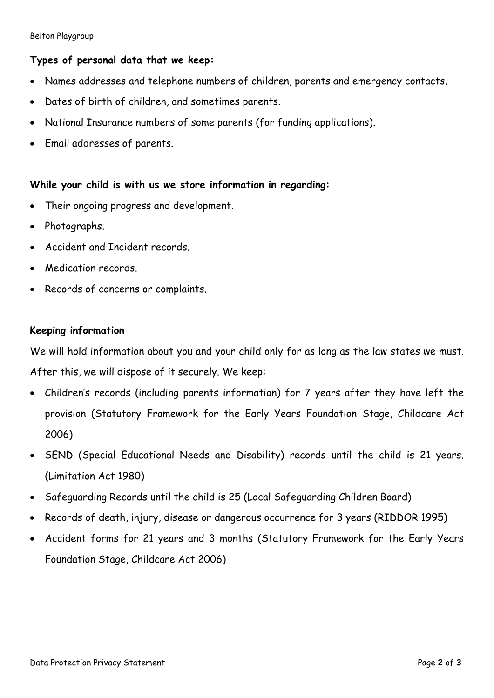Belton Playgroup

# **Types of personal data that we keep:**

- Names addresses and telephone numbers of children, parents and emergency contacts.
- Dates of birth of children, and sometimes parents.
- National Insurance numbers of some parents (for funding applications).
- Email addresses of parents.

# **While your child is with us we store information in regarding:**

- Their ongoing progress and development.
- Photographs.
- Accident and Incident records.
- Medication records.
- Records of concerns or complaints.

# **Keeping information**

We will hold information about you and your child only for as long as the law states we must. After this, we will dispose of it securely. We keep:

- Children's records (including parents information) for 7 years after they have left the provision (Statutory Framework for the Early Years Foundation Stage, Childcare Act 2006)
- SEND (Special Educational Needs and Disability) records until the child is 21 years. (Limitation Act 1980)
- Safeguarding Records until the child is 25 (Local Safeguarding Children Board)
- Records of death, injury, disease or dangerous occurrence for 3 years (RIDDOR 1995)
- Accident forms for 21 years and 3 months (Statutory Framework for the Early Years Foundation Stage, Childcare Act 2006)